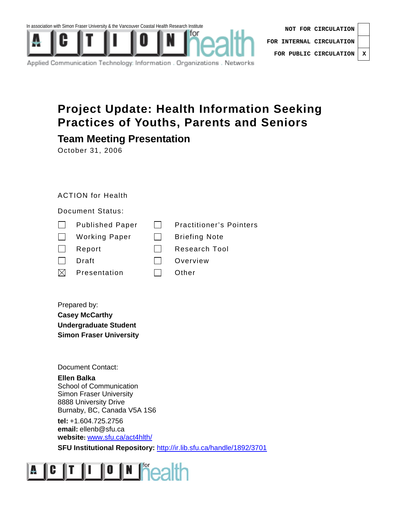

| NOT FOR CIRCULATION              |  |  |
|----------------------------------|--|--|
| FOR INTERNAL CIRCULATION $\vert$ |  |  |
| FOR PUBLIC CIRCULATION   X       |  |  |

Applied Communication Technology: Information . Organizations . Networks

### **Project Update: Health Information Seeking Practices of Youths, Parents and Seniors**

### **Team Meeting Presentation**

October 31, 2006

#### ACTION for Health

#### Document Status:

| $\perp$      | <b>Published Paper</b> | <b>Practitioner's Pointers</b> |
|--------------|------------------------|--------------------------------|
| $\Box$       | <b>Working Paper</b>   | <b>Briefing Note</b>           |
| $\mathbf{I}$ | Report                 | <b>Research Tool</b>           |
|              | Draft                  | Overview                       |
| $\boxtimes$  | Presentation           | Other                          |

Prepared by: **Casey McCarthy Undergraduate Student Simon Fraser University** 

Document Contact:

**Ellen Balka**  School of Communication Simon Fraser University 8888 University Drive Burnaby, BC, Canada V5A 1S6

**tel:** +1.604.725.2756 **email:** ellenb@sfu.ca **website:** www.sfu.ca/act4hlth/

**SFU Institutional Repository:** http://ir.lib.sfu.ca/handle/1892/3701

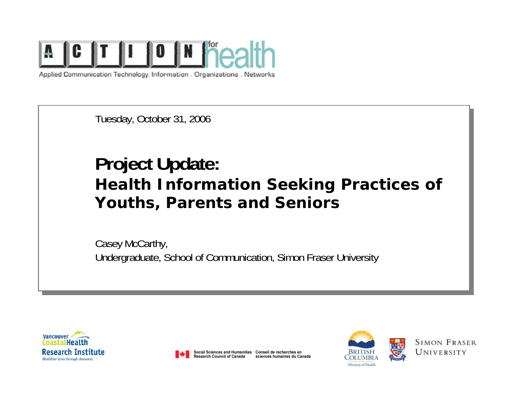

Applied Communication Technology: Information . Organizations . Networks

Tuesday, October 31, 2006

# **Project Update: Health Information Seeking Practices of Youths, Parents and Seniors**

Casey McCarthy, Undergraduate, School of Communication, Simon Fraser University





Social Sciences and Humanities Conseil de recherches en Research Council of Canada sciences humaines du Canada



**SIMON FRASER** UNIVERSITY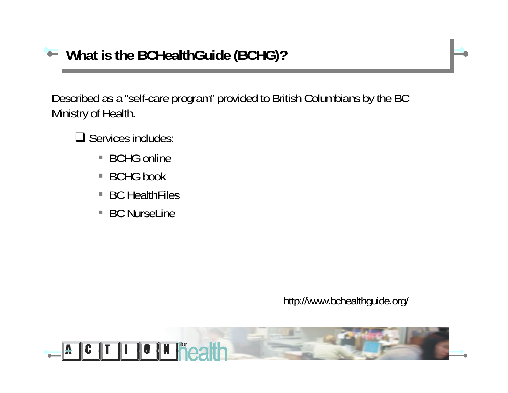Described as a "self-care program" provided to British Columbians by the BC Ministry of Health.

- $\Box$  Services includes:
	- BCHG online
	- BCHG book
	- $\mathcal{L}_{\mathcal{A}}$ BC HealthFiles
	- $\Box$ BC NurseLine

http://www.bchealthguide.org/

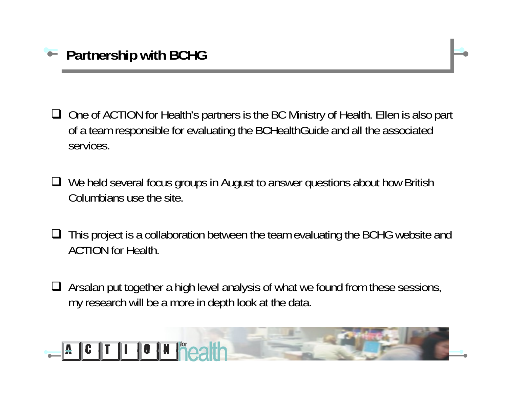- **□** One of ACTION for Health's partners is the BC Ministry of Health. Ellen is also part of a team responsible for evaluating the BCHealthGuide and all the associated services.
- **□** We held several focus groups in August to answer questions about how British Columbians use the site.
- $\Box$  This project is a collaboration between the team evaluating the BCHG website and ACTION for Health.
- $\Box$  Arsalan put together a high level analysis of what we found from these sessions, my research will be a more in depth look at the data.

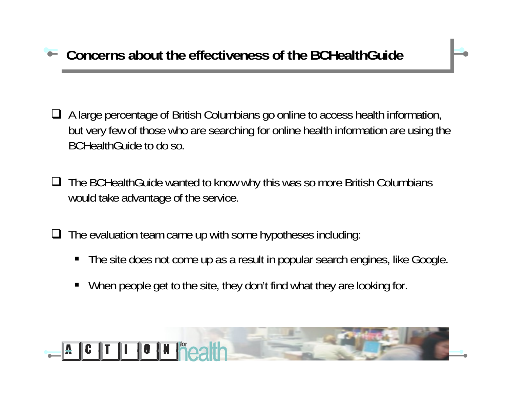## **Concerns about the effectiveness of the BCHealthGuide**

- A large percentage of British Columbians go online to access health information, but very few of those who are searching for online health information are using the BCHealthGuide to do so.
- **□** The BCHealthGuide wanted to know why this was so more British Columbians would take advantage of the service.
- $\Box$  The evaluation team came up with some hypotheses including:
	- П The site does not come up as a result in popular search engines, like Google.
	- ш When people get to the site, they don't find what they are looking for.

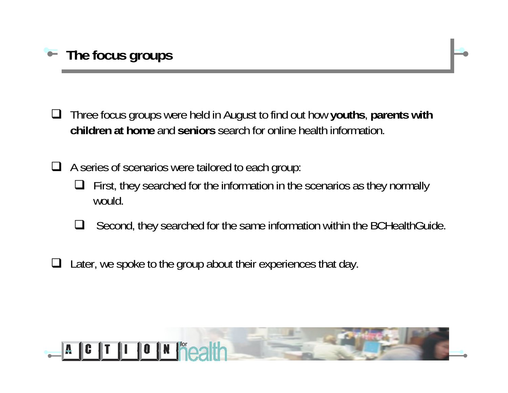

 $\Box$  Three focus groups were held in August to find out how **youths**, **parents with children at home** and **seniors** search for online health information.

 $\Box$  A series of scenarios were tailored to each group:

- $\Box$  First, they searched for the information in the scenarios as they normally would.
- $\Box$ Second, they searched for the same information within the BCHealthGuide.
- $\Box$  Later, we spoke to the group about their experiences that day.